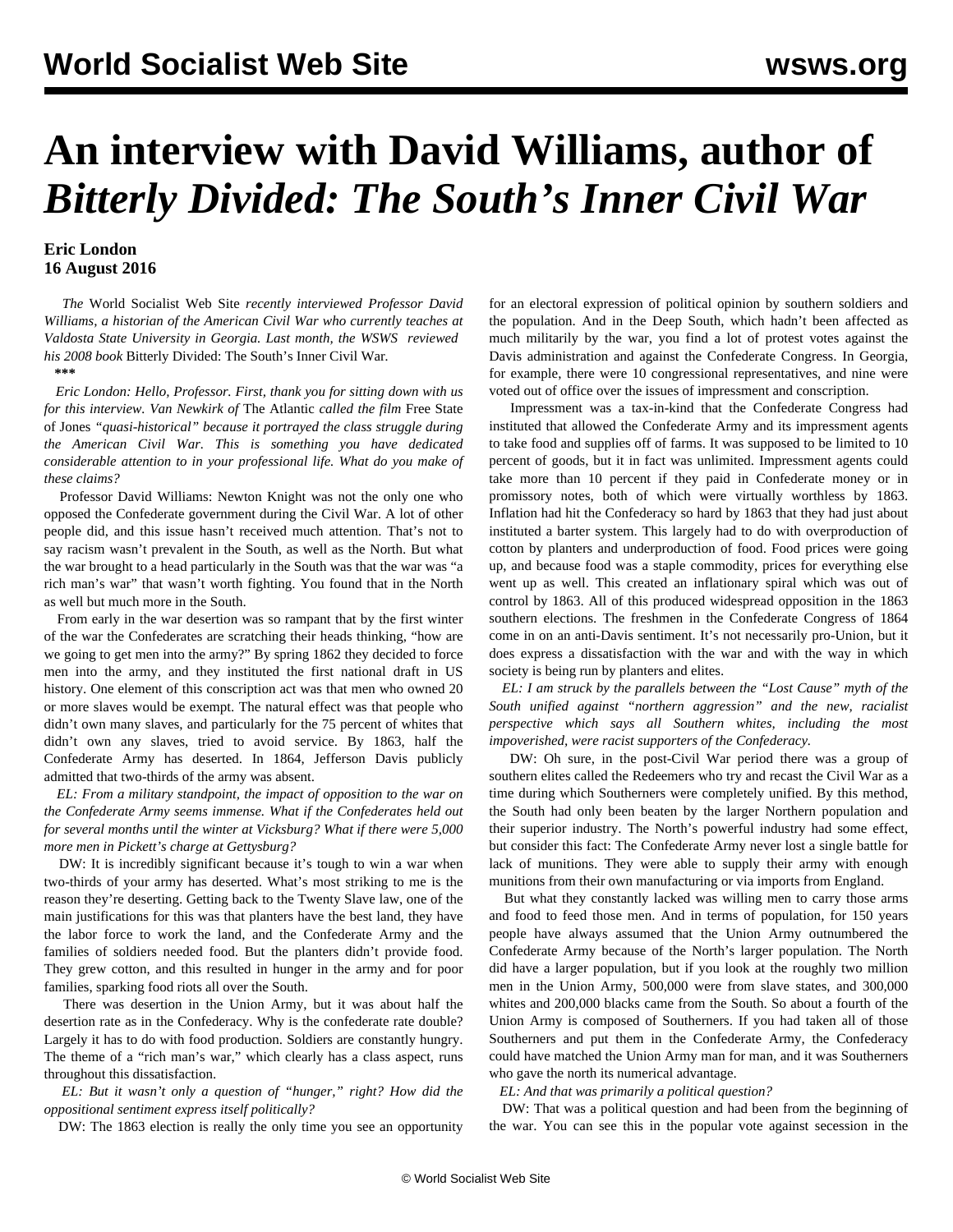## **An interview with David Williams, author of**  *Bitterly Divided: The South's Inner Civil War*

## **Eric London 16 August 2016**

 *The* World Socialist Web Site *recently interviewed Professor David Williams, a historian of the American Civil War who currently teaches at Valdosta State University in Georgia. Last month, the WSWS [reviewed](/en/articles/2016/07/26/civi-j26.html) his 2008 book* Bitterly Divided: The South's Inner Civil War*.*

**\*\*\***

 *Eric London: Hello, Professor. First, thank you for sitting down with us for this interview. Van Newkirk of* The Atlantic *called the film* Free State of Jones *"quasi-historical" because it portrayed the class struggle during the American Civil War. This is something you have dedicated considerable attention to in your professional life. What do you make of these claims?*

 Professor David Williams: Newton Knight was not the only one who opposed the Confederate government during the Civil War. A lot of other people did, and this issue hasn't received much attention. That's not to say racism wasn't prevalent in the South, as well as the North. But what the war brought to a head particularly in the South was that the war was "a rich man's war" that wasn't worth fighting. You found that in the North as well but much more in the South.

 From early in the war desertion was so rampant that by the first winter of the war the Confederates are scratching their heads thinking, "how are we going to get men into the army?" By spring 1862 they decided to force men into the army, and they instituted the first national draft in US history. One element of this conscription act was that men who owned 20 or more slaves would be exempt. The natural effect was that people who didn't own many slaves, and particularly for the 75 percent of whites that didn't own any slaves, tried to avoid service. By 1863, half the Confederate Army has deserted. In 1864, Jefferson Davis publicly admitted that two-thirds of the army was absent.

 *EL: From a military standpoint, the impact of opposition to the war on the Confederate Army seems immense. What if the Confederates held out for several months until the winter at Vicksburg? What if there were 5,000 more men in Pickett's charge at Gettysburg?*

 DW: It is incredibly significant because it's tough to win a war when two-thirds of your army has deserted. What's most striking to me is the reason they're deserting. Getting back to the Twenty Slave law, one of the main justifications for this was that planters have the best land, they have the labor force to work the land, and the Confederate Army and the families of soldiers needed food. But the planters didn't provide food. They grew cotton, and this resulted in hunger in the army and for poor families, sparking food riots all over the South.

 There was desertion in the Union Army, but it was about half the desertion rate as in the Confederacy. Why is the confederate rate double? Largely it has to do with food production. Soldiers are constantly hungry. The theme of a "rich man's war," which clearly has a class aspect, runs throughout this dissatisfaction.

 *EL: But it wasn't only a question of "hunger," right? How did the oppositional sentiment express itself politically?*

DW: The 1863 election is really the only time you see an opportunity

for an electoral expression of political opinion by southern soldiers and the population. And in the Deep South, which hadn't been affected as much militarily by the war, you find a lot of protest votes against the Davis administration and against the Confederate Congress. In Georgia, for example, there were 10 congressional representatives, and nine were voted out of office over the issues of impressment and conscription.

 Impressment was a tax-in-kind that the Confederate Congress had instituted that allowed the Confederate Army and its impressment agents to take food and supplies off of farms. It was supposed to be limited to 10 percent of goods, but it in fact was unlimited. Impressment agents could take more than 10 percent if they paid in Confederate money or in promissory notes, both of which were virtually worthless by 1863. Inflation had hit the Confederacy so hard by 1863 that they had just about instituted a barter system. This largely had to do with overproduction of cotton by planters and underproduction of food. Food prices were going up, and because food was a staple commodity, prices for everything else went up as well. This created an inflationary spiral which was out of control by 1863. All of this produced widespread opposition in the 1863 southern elections. The freshmen in the Confederate Congress of 1864 come in on an anti-Davis sentiment. It's not necessarily pro-Union, but it does express a dissatisfaction with the war and with the way in which society is being run by planters and elites.

 *EL: I am struck by the parallels between the "Lost Cause" myth of the South unified against "northern aggression" and the new, racialist perspective which says all Southern whites, including the most impoverished, were racist supporters of the Confederacy.*

 DW: Oh sure, in the post-Civil War period there was a group of southern elites called the Redeemers who try and recast the Civil War as a time during which Southerners were completely unified. By this method, the South had only been beaten by the larger Northern population and their superior industry. The North's powerful industry had some effect, but consider this fact: The Confederate Army never lost a single battle for lack of munitions. They were able to supply their army with enough munitions from their own manufacturing or via imports from England.

 But what they constantly lacked was willing men to carry those arms and food to feed those men. And in terms of population, for 150 years people have always assumed that the Union Army outnumbered the Confederate Army because of the North's larger population. The North did have a larger population, but if you look at the roughly two million men in the Union Army, 500,000 were from slave states, and 300,000 whites and 200,000 blacks came from the South. So about a fourth of the Union Army is composed of Southerners. If you had taken all of those Southerners and put them in the Confederate Army, the Confederacy could have matched the Union Army man for man, and it was Southerners who gave the north its numerical advantage.

*EL: And that was primarily a political question?*

 DW: That was a political question and had been from the beginning of the war. You can see this in the popular vote against secession in the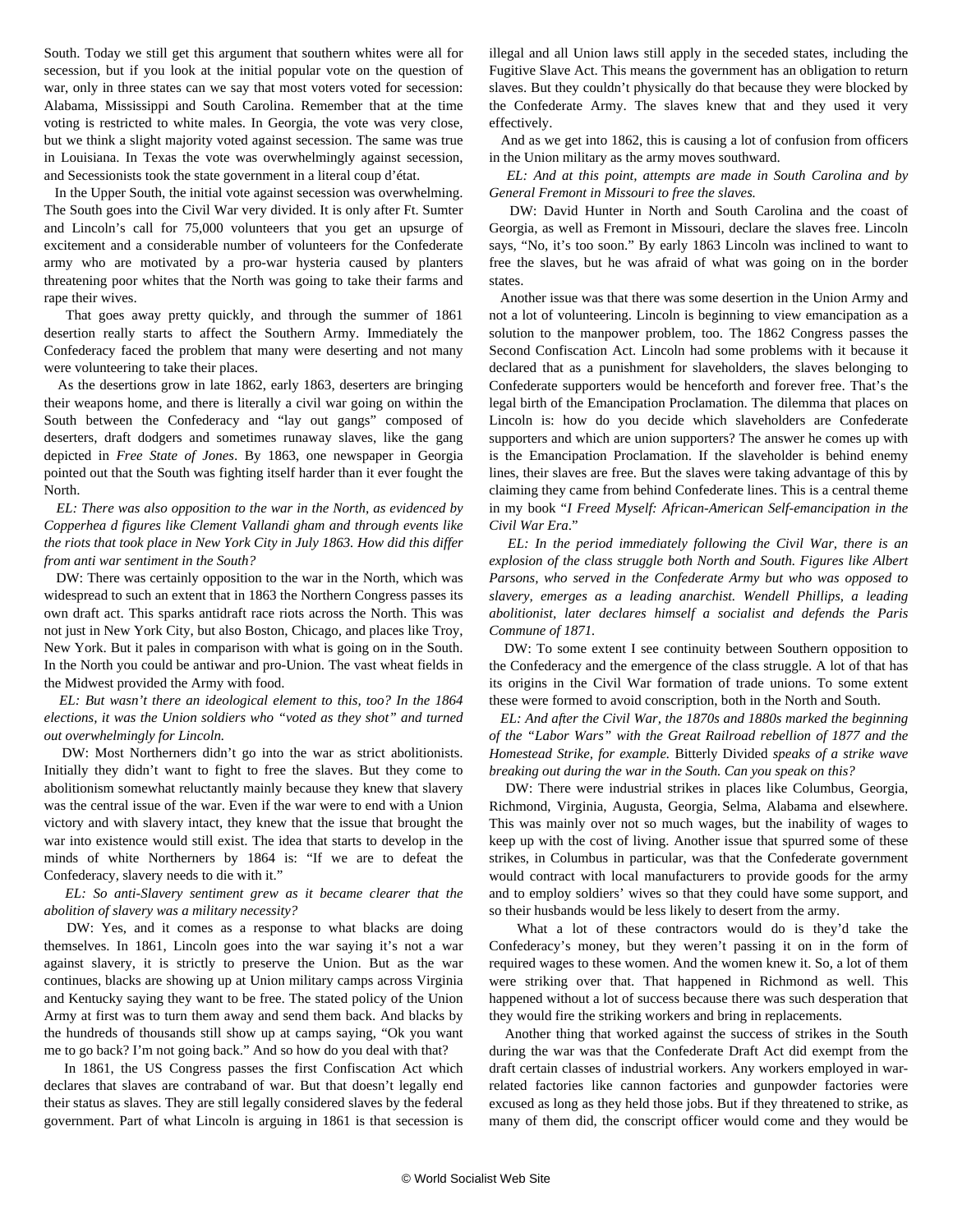South. Today we still get this argument that southern whites were all for secession, but if you look at the initial popular vote on the question of war, only in three states can we say that most voters voted for secession: Alabama, Mississippi and South Carolina. Remember that at the time voting is restricted to white males. In Georgia, the vote was very close, but we think a slight majority voted against secession. The same was true in Louisiana. In Texas the vote was overwhelmingly against secession, and Secessionists took the state government in a literal coup d'état.

 In the Upper South, the initial vote against secession was overwhelming. The South goes into the Civil War very divided. It is only after Ft. Sumter and Lincoln's call for 75,000 volunteers that you get an upsurge of excitement and a considerable number of volunteers for the Confederate army who are motivated by a pro-war hysteria caused by planters threatening poor whites that the North was going to take their farms and rape their wives.

 That goes away pretty quickly, and through the summer of 1861 desertion really starts to affect the Southern Army. Immediately the Confederacy faced the problem that many were deserting and not many were volunteering to take their places.

 As the desertions grow in late 1862, early 1863, deserters are bringing their weapons home, and there is literally a civil war going on within the South between the Confederacy and "lay out gangs" composed of deserters, draft dodgers and sometimes runaway slaves, like the gang depicted in *Free State of Jones*. By 1863, one newspaper in Georgia pointed out that the South was fighting itself harder than it ever fought the North.

 *EL: There was also opposition to the war in the North, as evidenced by Copperhea d figures like Clement Vallandi gham and through events like the riots that took place in New York City in July 1863. How did this differ from anti war sentiment in the South?*

 DW: There was certainly opposition to the war in the North, which was widespread to such an extent that in 1863 the Northern Congress passes its own draft act. This sparks antidraft race riots across the North. This was not just in New York City, but also Boston, Chicago, and places like Troy, New York. But it pales in comparison with what is going on in the South. In the North you could be antiwar and pro-Union. The vast wheat fields in the Midwest provided the Army with food.

 *EL: But wasn't there an ideological element to this, too? In the 1864 elections, it was the Union soldiers who "voted as they shot" and turned out overwhelmingly for Lincoln.*

 DW: Most Northerners didn't go into the war as strict abolitionists. Initially they didn't want to fight to free the slaves. But they come to abolitionism somewhat reluctantly mainly because they knew that slavery was the central issue of the war. Even if the war were to end with a Union victory and with slavery intact, they knew that the issue that brought the war into existence would still exist. The idea that starts to develop in the minds of white Northerners by 1864 is: "If we are to defeat the Confederacy, slavery needs to die with it."

 *EL: So anti-Slavery sentiment grew as it became clearer that the abolition of slavery was a military necessity?*

 DW: Yes, and it comes as a response to what blacks are doing themselves. In 1861, Lincoln goes into the war saying it's not a war against slavery, it is strictly to preserve the Union. But as the war continues, blacks are showing up at Union military camps across Virginia and Kentucky saying they want to be free. The stated policy of the Union Army at first was to turn them away and send them back. And blacks by the hundreds of thousands still show up at camps saying, "Ok you want me to go back? I'm not going back." And so how do you deal with that?

 In 1861, the US Congress passes the first Confiscation Act which declares that slaves are contraband of war. But that doesn't legally end their status as slaves. They are still legally considered slaves by the federal government. Part of what Lincoln is arguing in 1861 is that secession is

illegal and all Union laws still apply in the seceded states, including the Fugitive Slave Act. This means the government has an obligation to return slaves. But they couldn't physically do that because they were blocked by the Confederate Army. The slaves knew that and they used it very effectively.

 And as we get into 1862, this is causing a lot of confusion from officers in the Union military as the army moves southward.

 *EL: And at this point, attempts are made in South Carolina and by General Fremont in Missouri to free the slaves.*

 DW: David Hunter in North and South Carolina and the coast of Georgia, as well as Fremont in Missouri, declare the slaves free. Lincoln says, "No, it's too soon." By early 1863 Lincoln was inclined to want to free the slaves, but he was afraid of what was going on in the border states.

 Another issue was that there was some desertion in the Union Army and not a lot of volunteering. Lincoln is beginning to view emancipation as a solution to the manpower problem, too. The 1862 Congress passes the Second Confiscation Act. Lincoln had some problems with it because it declared that as a punishment for slaveholders, the slaves belonging to Confederate supporters would be henceforth and forever free. That's the legal birth of the Emancipation Proclamation. The dilemma that places on Lincoln is: how do you decide which slaveholders are Confederate supporters and which are union supporters? The answer he comes up with is the Emancipation Proclamation. If the slaveholder is behind enemy lines, their slaves are free. But the slaves were taking advantage of this by claiming they came from behind Confederate lines. This is a central theme in my book "*I Freed Myself: African-American Self-emancipation in the Civil War Era*."

 *EL: In the period immediately following the Civil War, there is an explosion of the class struggle both North and South. Figures like Albert Parsons, who served in the Confederate Army but who was opposed to slavery, emerges as a leading anarchist. Wendell Phillips, a leading abolitionist, later declares himself a socialist and defends the Paris Commune of 1871.*

 DW: To some extent I see continuity between Southern opposition to the Confederacy and the emergence of the class struggle. A lot of that has its origins in the Civil War formation of trade unions. To some extent these were formed to avoid conscription, both in the North and South.

 *EL: And after the Civil War, the 1870s and 1880s marked the beginning of the "Labor Wars" with the Great Railroad rebellion of 1877 and the Homestead Strike, for example.* Bitterly Divided *speaks of a strike wave breaking out during the war in the South. Can you speak on this?*

 DW: There were industrial strikes in places like Columbus, Georgia, Richmond, Virginia, Augusta, Georgia, Selma, Alabama and elsewhere. This was mainly over not so much wages, but the inability of wages to keep up with the cost of living. Another issue that spurred some of these strikes, in Columbus in particular, was that the Confederate government would contract with local manufacturers to provide goods for the army and to employ soldiers' wives so that they could have some support, and so their husbands would be less likely to desert from the army.

 What a lot of these contractors would do is they'd take the Confederacy's money, but they weren't passing it on in the form of required wages to these women. And the women knew it. So, a lot of them were striking over that. That happened in Richmond as well. This happened without a lot of success because there was such desperation that they would fire the striking workers and bring in replacements.

 Another thing that worked against the success of strikes in the South during the war was that the Confederate Draft Act did exempt from the draft certain classes of industrial workers. Any workers employed in warrelated factories like cannon factories and gunpowder factories were excused as long as they held those jobs. But if they threatened to strike, as many of them did, the conscript officer would come and they would be